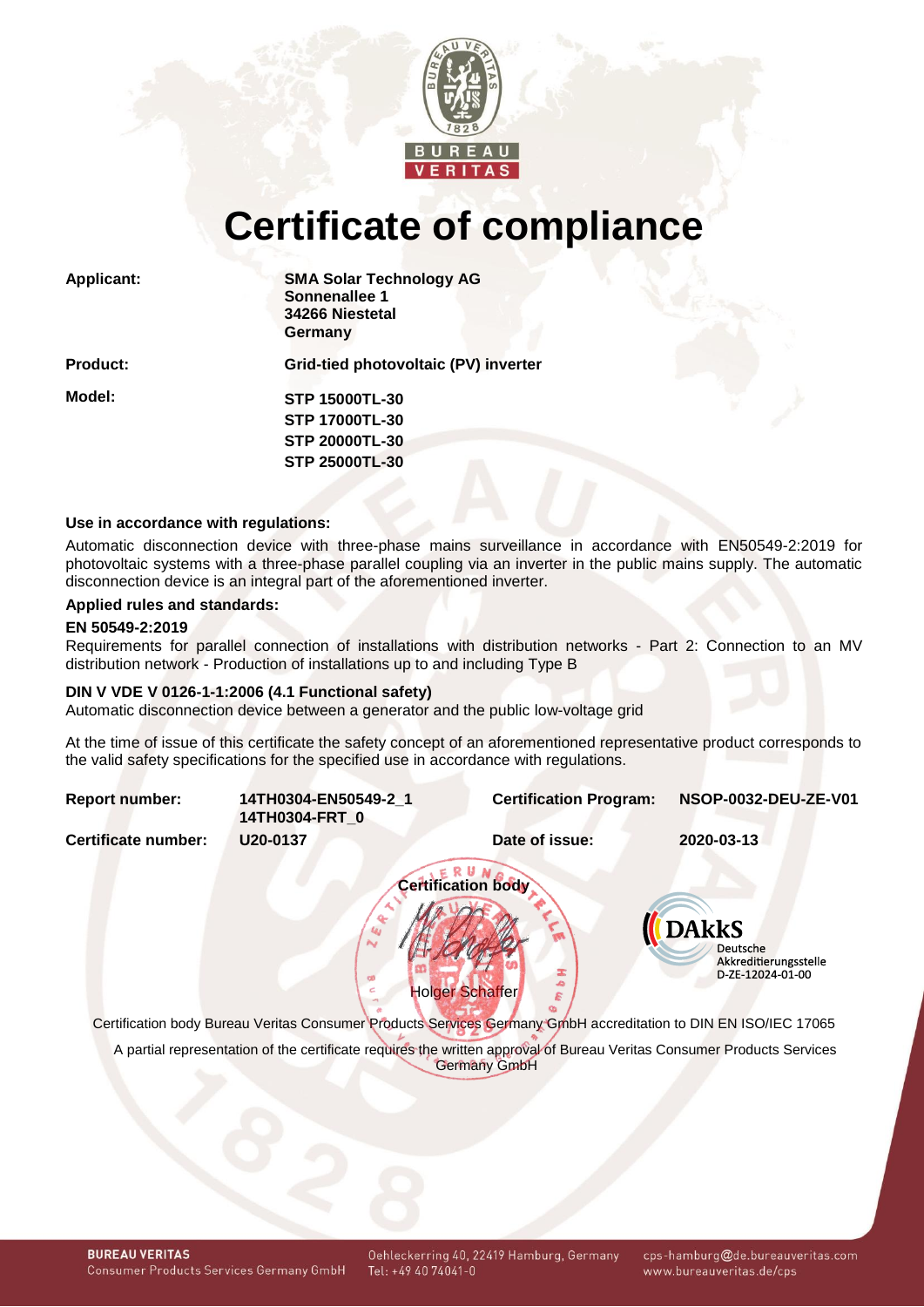

# **Certificate of compliance**

| <b>Applicant:</b> | <b>SMA Solar Technology AG</b><br>Sonnenallee 1<br>34266 Niestetal<br>Germany |  |  |  |
|-------------------|-------------------------------------------------------------------------------|--|--|--|
| <b>Product:</b>   | Grid-tied photovoltaic (PV) inverter                                          |  |  |  |
| Model:            | <b>STP 15000TL-30</b>                                                         |  |  |  |
|                   | <b>STP 17000TL-30</b>                                                         |  |  |  |
|                   | <b>STP 20000TL-30</b>                                                         |  |  |  |
|                   | <b>STP 25000TL-30</b>                                                         |  |  |  |
|                   |                                                                               |  |  |  |

#### **Use in accordance with regulations:**

Automatic disconnection device with three-phase mains surveillance in accordance with EN50549-2:2019 for photovoltaic systems with a three-phase parallel coupling via an inverter in the public mains supply. The automatic disconnection device is an integral part of the aforementioned inverter.

# **Applied rules and standards:**

#### **EN 50549-2:2019**

Requirements for parallel connection of installations with distribution networks - Part 2: Connection to an MV distribution network - Production of installations up to and including Type B

#### **DIN V VDE V 0126-1-1:2006 (4.1 Functional safety)**

Automatic disconnection device between a generator and the public low-voltage grid

At the time of issue of this certificate the safety concept of an aforementioned representative product corresponds to the valid safety specifications for the specified use in accordance with regulations.

<span id="page-0-2"></span><span id="page-0-1"></span><span id="page-0-0"></span>

| <b>Report number:</b> | 14TH0304-EN50549-2 1<br>14TH0304-FRT 0 | <b>Certification Program:</b>                                                                                                          | NSOP-0032-DEU-ZE-V01                                                         |
|-----------------------|----------------------------------------|----------------------------------------------------------------------------------------------------------------------------------------|------------------------------------------------------------------------------|
| Certificate number:   | U20-0137                               | Date of issue:                                                                                                                         | 2020-03-13                                                                   |
|                       |                                        | <b>Certification body</b><br><b>Holger Schaffer</b>                                                                                    | <b>DAkkS</b><br><b>Deutsche</b><br>Akkreditierungsstelle<br>D-ZE-12024-01-00 |
|                       |                                        |                                                                                                                                        |                                                                              |
|                       |                                        | Certification body Bureau Veritas Consumer Products Services Germany GmbH accreditation to DIN EN ISO/IEC 17065                        |                                                                              |
|                       |                                        | A partial representation of the certificate requires the written approval of Bureau Veritas Consumer Products Services<br>Germany GmbH |                                                                              |

cps-hamburg@de.bureauveritas.com www.bureauveritas.de/cps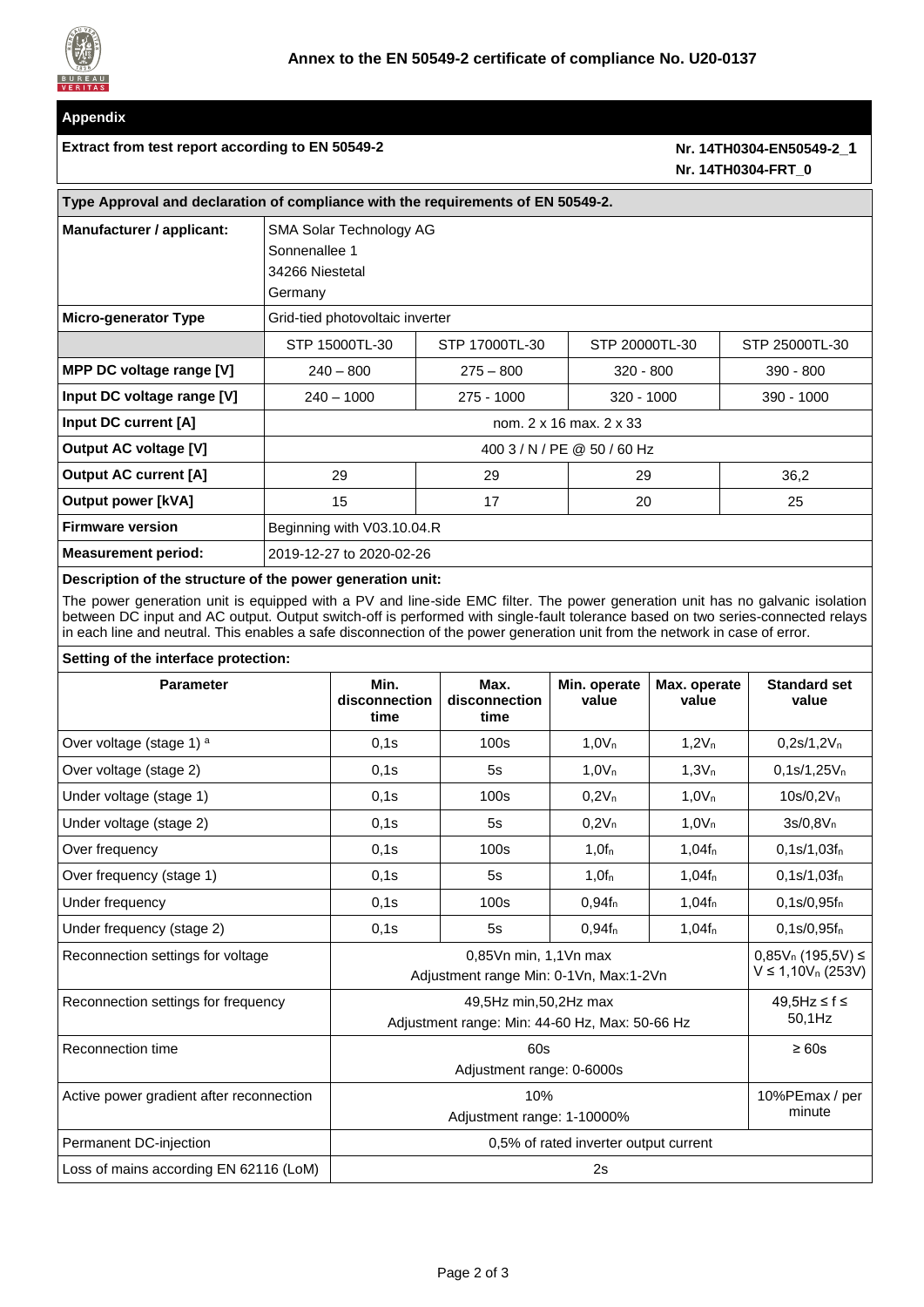

# **Appendix**

#### Extract from test report according to EN 50549-2 **Nr.** [14TH0304-EN50549-2](#page-0-1) 1

# **Nr. [14TH0304-FRT\\_0](#page-0-2)**

| Type Approval and declaration of compliance with the requirements of EN 50549-2. |                                                                        |                |                |                |  |  |  |  |
|----------------------------------------------------------------------------------|------------------------------------------------------------------------|----------------|----------------|----------------|--|--|--|--|
| Manufacturer / applicant:                                                        | SMA Solar Technology AG<br>Sonnenallee 1<br>34266 Niestetal<br>Germany |                |                |                |  |  |  |  |
| <b>Micro-generator Type</b>                                                      | Grid-tied photovoltaic inverter                                        |                |                |                |  |  |  |  |
|                                                                                  | STP 15000TL-30                                                         | STP 17000TL-30 | STP 20000TL-30 | STP 25000TL-30 |  |  |  |  |
| MPP DC voltage range [V]                                                         | $240 - 800$                                                            | $275 - 800$    | $320 - 800$    | $390 - 800$    |  |  |  |  |
| Input DC voltage range [V]                                                       | $240 - 1000$                                                           | $275 - 1000$   | $320 - 1000$   | $390 - 1000$   |  |  |  |  |
| Input DC current [A]                                                             | nom. 2 x 16 max. 2 x 33                                                |                |                |                |  |  |  |  |
| <b>Output AC voltage [V]</b>                                                     | 400 3 / N / PE @ 50 / 60 Hz                                            |                |                |                |  |  |  |  |
| <b>Output AC current [A]</b>                                                     | 29                                                                     | 29             | 29             | 36,2           |  |  |  |  |
| <b>Output power [kVA]</b>                                                        | 15                                                                     | 17             | 20             | 25             |  |  |  |  |
| <b>Firmware version</b>                                                          | Beginning with V03.10.04.R                                             |                |                |                |  |  |  |  |
| <b>Measurement period:</b>                                                       | 2019-12-27 to 2020-02-26                                               |                |                |                |  |  |  |  |

#### **Description of the structure of the power generation unit:**

The power generation unit is equipped with a PV and line-side EMC filter. The power generation unit has no galvanic isolation between DC input and AC output. Output switch-off is performed with single-fault tolerance based on two series-connected relays in each line and neutral. This enables a safe disconnection of the power generation unit from the network in case of error.

# **Setting of the interface protection:**

| <b>Parameter</b>                         | Min.<br>disconnection<br>time                                           | Max.<br>disconnection<br>time | Min. operate<br>value | Max. operate<br>value | <b>Standard set</b><br>value                  |
|------------------------------------------|-------------------------------------------------------------------------|-------------------------------|-----------------------|-----------------------|-----------------------------------------------|
| Over voltage (stage 1) <sup>a</sup>      | 0.1s                                                                    | 100s                          | 1.0V <sub>n</sub>     | 1,2V <sub>n</sub>     | $0.2s/1.2V_n$                                 |
| Over voltage (stage 2)                   | 0,1s                                                                    | 5s                            | 1.0V <sub>n</sub>     | 1.3V <sub>n</sub>     | $0,1s/1,25V_n$                                |
| Under voltage (stage 1)                  | 0,1s                                                                    | 100s                          | $0,2V_n$              | 1,0V <sub>n</sub>     | $10s/0, 2V_n$                                 |
| Under voltage (stage 2)                  | 0.1s                                                                    | 5s                            | $0,2V_n$              | 1,0V <sub>n</sub>     | $3s/0,8V_n$                                   |
| Over frequency                           | 0.1s                                                                    | 100s                          | 1.0f <sub>n</sub>     | $1,04f_n$             | $0.1$ s/1,03f <sub>n</sub>                    |
| Over frequency (stage 1)                 | 0,1s                                                                    | 5s                            | 1.0f <sub>n</sub>     | $1,04f_{n}$           | $0,1s/1,03f_n$                                |
| Under frequency                          | 0,1s                                                                    | 100s                          | 0,94f <sub>n</sub>    | $1,04f_n$             | $0,1s/0,95f_n$                                |
| Under frequency (stage 2)                | 0,1s                                                                    | 5s                            | $0.94f_{n}$           | $1,04f_n$             | $0,1s/0,95f_n$                                |
| Reconnection settings for voltage        | 0,85Vn min, 1,1Vn max<br>Adjustment range Min: 0-1Vn, Max:1-2Vn         |                               |                       |                       | $0,85Vn$ (195,5V) ≤<br>$V \le 1,10V_n (253V)$ |
| Reconnection settings for frequency      | 49,5Hz min,50,2Hz max<br>Adjustment range: Min: 44-60 Hz, Max: 50-66 Hz |                               |                       |                       | $49.5$ Hz ≤ f ≤<br>50,1Hz                     |
| Reconnection time                        | 60s<br>Adjustment range: 0-6000s                                        |                               |                       |                       | $\geq 60s$                                    |
| Active power gradient after reconnection | 10%<br>Adjustment range: 1-10000%                                       |                               |                       |                       | 10%PEmax / per<br>minute                      |
| Permanent DC-injection                   | 0,5% of rated inverter output current                                   |                               |                       |                       |                                               |
| Loss of mains according EN 62116 (LoM)   | 2s                                                                      |                               |                       |                       |                                               |